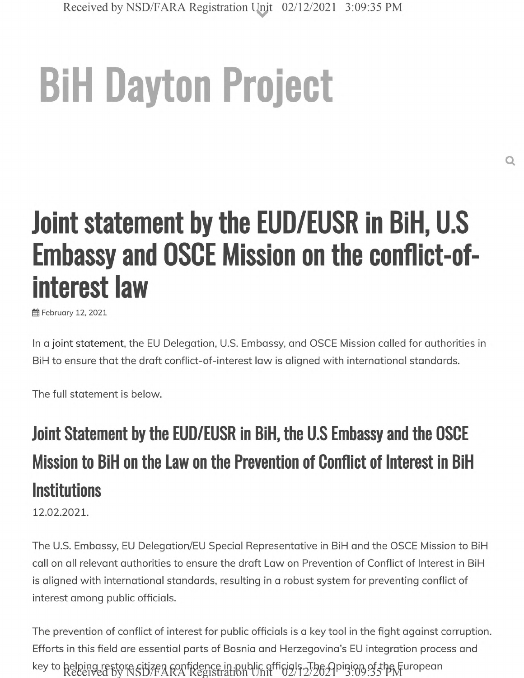# **BiH Dayton Project**

## **Joint statement by the EUD/EUSR in BiH, U.S Embassy and OSCE Mission on the conflict-ofinterest law**

**fff** February 12, 2021

In a joint statement, the EU Delegation, U.S. Embassy, and OSCE Mission called for authorities in BiH to ensure that the draft conflict-of-interest law is aligned with international standards.

The full statement is below.

## **Joint Statement by the EUD/EUSR in BiH, the U.S Embassy and the OSCE Mission to BiH on the Law on the Prevention of Conflict of Interest in BiH Institutions**

**12**.**02**.**2021**.

The U.S. Embassy, EU Delegation/EU Special Representative in BiH and the OSCE Mission to BiH call on all relevant authorities to ensure the draft Law on Prevention of Conflict of Interest in BiH is aligned with international standards, resulting in a robust system for preventing conflict of interest among public officials.

The prevention of conflict of interest for public officials is a key tool in the fight against corruption. Efforts in this field are essential parts of Bosnia and Herzegovina's EU integration process and key to helping restore citizen sonfidence in public officials, The Opinion of the Furopean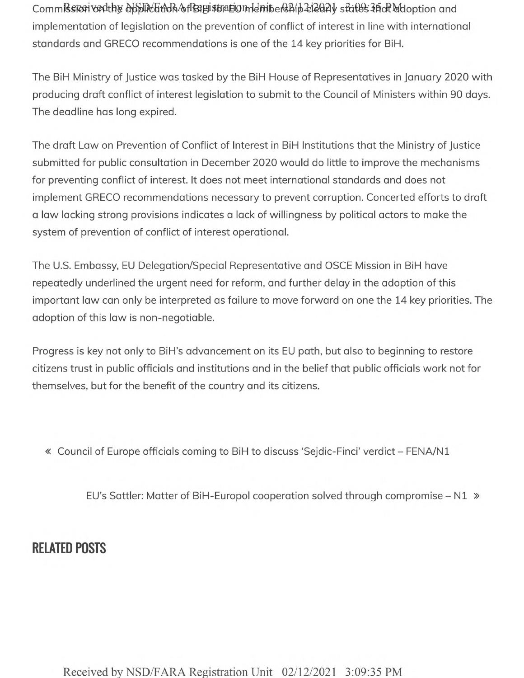CommRsicon vorthy opplication of Bagistration denibership 2 and y states that who ption and implementation of legislation on the prevention of conflict of interest in line with international standards and GRECO recommendations is one of the 14 key priorities for BiH.

The BiH Ministry of Justice was tasked by the BiH House of Representatives in January 2020 with producing draft conflict of interest legislation to submit to the Council of Ministers within 90 days. The deadline has long expired.

The draft Law on Prevention of Conflict of Interest in BiH Institutions that the Ministry of Justice submitted for public consultation in December 2020 would do little to improve the mechanisms for preventing conflict of interest. It does not meet international standards and does not implement GRECO recommendations necessary to prevent corruption. Concerted efforts to draft a law lacking strong provisions indicates a lack of willingness by political actors to make the system of prevention of conflict of interest operational.

The U.S. Embassy, EU Delegation/Special Representative and OSCE Mission in BiH have repeatedly underlined the urgent need for reform, and further delay in the adoption of this important law can only be interpreted as failure to move forward on one the 14 key priorities. The adoption of this law is non-negotiable.

Progress is key not only to BiH's advancement on its EU path, but also to beginning to restore citizens trust in public officials and institutions and in the belief that public officials work not for themselves, but for the benefit of the country and its citizens.

« Council of Europe officials coming to BiH to discuss 'Sejdic-Finci' verdict - FENA/N1

EU's Sattler: Matter of BiH-Europol cooperation solved through compromise - N1 »

#### **RELATED POSTS**

Received by NSD/FARA Registration Unit 02/12/2021 3:09:35 PM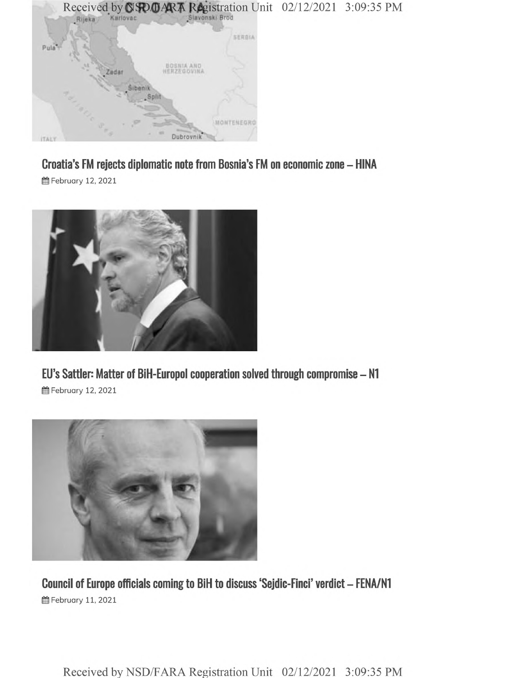

**Croatia's FM rejects diplomatic note from Bosnia's FM on economic zone - HINA 曲 February 12, 2021** 



**EU's Sattler: Matter of BiH-Europol cooperation solved through compromise - N1 曲 February 12, 2021** 



**Council of Europe officials coming to BiH to discuss 'Sejdic-Finci' verdict - FENA/N1 曾February 11, 2021** 

Received by NSD/FARA Registration Unit 02/12/2021 3:09:35 PM